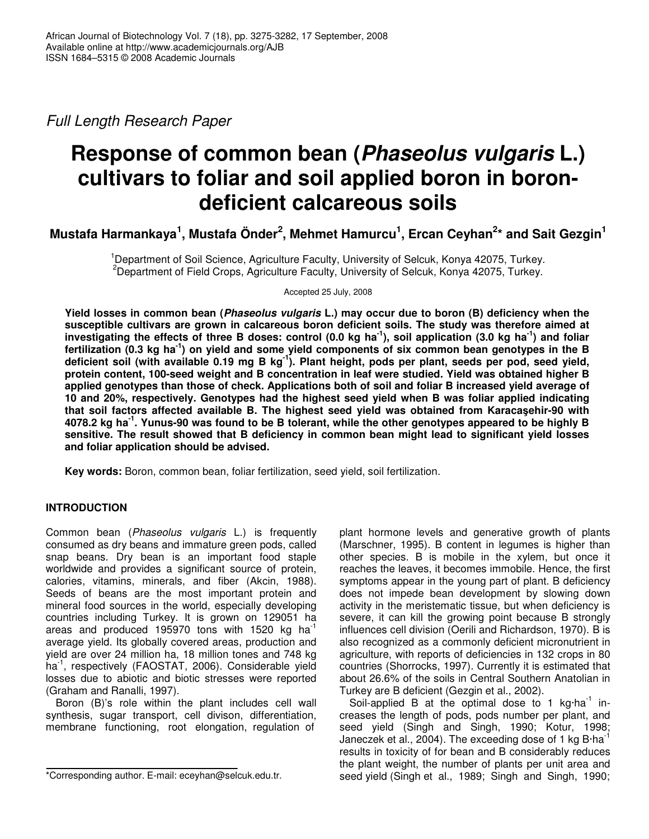*Full Length Research Paper*

# **Response of common bean (***Phaseolus vulgaris* **L.) cultivars to foliar and soil applied boron in borondeficient calcareous soils**

Mustafa Harmankaya<sup>1</sup>, Mustafa Önder<sup>2</sup>, Mehmet Hamurcu<sup>1</sup>, Ercan Ceyhan<sup>2</sup>\* and Sait Gezgin<sup>1</sup>

<sup>1</sup>Department of Soil Science, Agriculture Faculty, University of Selcuk, Konya 42075, Turkey. <sup>2</sup>Department of Field Crops, Agriculture Faculty, University of Selcuk, Konya 42075, Turkey.

Accepted 25 July, 2008

**Yield losses in common bean (***Phaseolus vulgaris* **L.) may occur due to boron (B) deficiency when the susceptible cultivars are grown in calcareous boron deficient soils. The study was therefore aimed at** investigating the effects of three B doses: control (0.0 kg ha<sup>-1</sup>), soil application (3.0 kg ha<sup>-1</sup>) and foliar fertilization (0.3 kg ha<sup>-1</sup>) on yield and some yield components of six common bean genotypes in the B deficient soil (with available 0.19 mg B kg<sup>-1</sup>). Plant height, pods per plant, seeds per pod, seed yield, **protein content, 100-seed weight and B concentration in leaf were studied. Yield was obtained higher B applied genotypes than those of check. Applications both of soil and foliar B increased yield average of 10 and 20%, respectively. Genotypes had the highest seed yield when B was foliar applied indicating that soil factors affected available B. The highest seed yield was obtained from Karacaehir-90 with** 4078.2 kg ha<sup>-1</sup>. Yunus-90 was found to be B tolerant, while the other genotypes appeared to be highly B **sensitive. The result showed that B deficiency in common bean might lead to significant yield losses and foliar application should be advised.**

**Key words:** Boron, common bean, foliar fertilization, seed yield, soil fertilization.

# **INTRODUCTION**

Common bean (*Phaseolus vulgaris* L.) is frequently consumed as dry beans and immature green pods, called snap beans. Dry bean is an important food staple worldwide and provides a significant source of protein, calories, vitamins, minerals, and fiber (Akcin, 1988). Seeds of beans are the most important protein and mineral food sources in the world, especially developing countries including Turkey. It is grown on 129051 ha areas and produced 195970 tons with 1520 kg ha<sup>-1</sup> average yield. Its globally covered areas, production and yield are over 24 million ha, 18 million tones and 748 kg ha<sup>-1</sup>, respectively (FAOSTAT, 2006). Considerable yield losses due to abiotic and biotic stresses were reported (Graham and Ranalli, 1997).

Boron (B)'s role within the plant includes cell wall synthesis, sugar transport, cell divison, differentiation, membrane functioning, root elongation, regulation of

plant hormone levels and generative growth of plants (Marschner, 1995). B content in legumes is higher than other species. B is mobile in the xylem, but once it reaches the leaves, it becomes immobile. Hence, the first symptoms appear in the young part of plant. B deficiency does not impede bean development by slowing down activity in the meristematic tissue, but when deficiency is severe, it can kill the growing point because B strongly influences cell division (Oerili and Richardson, 1970). B is also recognized as a commonly deficient micronutrient in agriculture, with reports of deficiencies in 132 crops in 80 countries (Shorrocks, 1997). Currently it is estimated that about 26.6% of the soils in Central Southern Anatolian in Turkey are B deficient (Gezgin et al., 2002).

Soil-applied B at the optimal dose to 1 kg $\cdot$ ha<sup>-1</sup> increases the length of pods, pods number per plant, and seed yield (Singh and Singh, 1990; Kotur, 1998; Janeczek et al., 2004). The exceeding dose of 1 kg B·ha<sup>-1</sup> results in toxicity of for bean and B considerably reduces the plant weight, the number of plants per unit area and seed yield (Singh et al., 1989; Singh and Singh, 1990;

<sup>\*</sup>Corresponding author. E-mail: eceyhan@selcuk.edu.tr.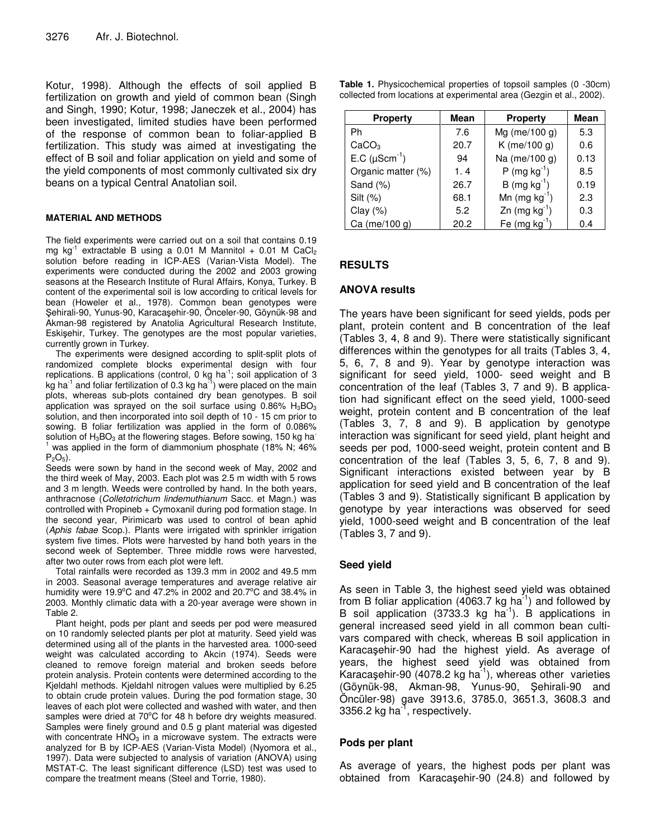Kotur, 1998). Although the effects of soil applied B fertilization on growth and yield of common bean (Singh and Singh, 1990; Kotur, 1998; Janeczek et al., 2004) has been investigated, limited studies have been performed of the response of common bean to foliar-applied B fertilization. This study was aimed at investigating the effect of B soil and foliar application on yield and some of the yield components of most commonly cultivated six dry beans on a typical Central Anatolian soil.

#### **MATERIAL AND METHODS**

The field experiments were carried out on a soil that contains 0.19 mg kg<sup>-1</sup> extractable B using a 0.01 M Mannitol + 0.01 M CaCl<sub>2</sub> solution before reading in ICP-AES (Varian-Vista Model). The experiments were conducted during the 2002 and 2003 growing seasons at the Research Institute of Rural Affairs, Konya, Turkey. B content of the experimental soil is low according to critical levels for bean (Howeler et al*.,* 1978). Common bean genotypes were Şehirali-90, Yunus-90, Karacaşehir-90, Onceler-90, Göynük-98 and Akman-98 registered by Anatolia Agricultural Research Institute, Eskişehir, Turkey. The genotypes are the most popular varieties, currently grown in Turkey.

The experiments were designed according to split-split plots of randomized complete blocks experimental design with four replications. B applications (control, 0 kg ha<sup>-1</sup>; soil application of 3 kg ha<sup>-1</sup> and foliar fertilization of 0.3 kg ha<sup>-1</sup>) were placed on the main plots, whereas sub-plots contained dry bean genotypes. B soil application was sprayed on the soil surface using  $0.86\%$  H<sub>3</sub>BO<sub>3</sub> solution, and then incorporated into soil depth of 10 - 15 cm prior to sowing. B foliar fertilization was applied in the form of 0.086% solution of  $H_3BO_3$  at the flowering stages. Before sowing, 150 kg ha <sup>1</sup> was applied in the form of diammonium phosphate (18% N; 46%)  $P_2O_5$ ).

Seeds were sown by hand in the second week of May, 2002 and the third week of May, 2003. Each plot was 2.5 m width with 5 rows and 3 m length. Weeds were controlled by hand. In the both years, anthracnose (*Colletotrichum lindemuthianum* Sacc. et Magn.) was controlled with Propineb + Cymoxanil during pod formation stage. In the second year, Pirimicarb was used to control of bean aphid (*Aphis fabae* Scop.). Plants were irrigated with sprinkler irrigation system five times. Plots were harvested by hand both years in the second week of September. Three middle rows were harvested, after two outer rows from each plot were left.

Total rainfalls were recorded as 139.3 mm in 2002 and 49.5 mm in 2003. Seasonal average temperatures and average relative air humidity were 19.9°C and 47.2% in 2002 and 20.7°C and 38.4% in 2003. Monthly climatic data with a 20-year average were shown in Table 2.

Plant height, pods per plant and seeds per pod were measured on 10 randomly selected plants per plot at maturity. Seed yield was determined using all of the plants in the harvested area. 1000-seed weight was calculated according to Akcin (1974). Seeds were cleaned to remove foreign material and broken seeds before protein analysis. Protein contents were determined according to the Kjeldahl methods. Kjeldahl nitrogen values were multiplied by 6.25 to obtain crude protein values. During the pod formation stage, 30 leaves of each plot were collected and washed with water, and then samples were dried at 70°C for 48 h before dry weights measured. Samples were finely ground and 0.5 g plant material was digested with concentrate  $HNO<sub>3</sub>$  in a microwave system. The extracts were analyzed for B by ICP-AES (Varian-Vista Model) (Nyomora et al., 1997). Data were subjected to analysis of variation (ANOVA) using MSTAT-C. The least significant difference (LSD) test was used to compare the treatment means (Steel and Torrie, 1980).

| <b>Property</b>             | Mean | <b>Property</b>            | Mean |
|-----------------------------|------|----------------------------|------|
| Ph                          | 7.6  | Mg (me/100 $g$ )           | 5.3  |
| CaCO <sub>3</sub>           | 20.7 | K (me/100 g)               | 0.6  |
| E.C $(\mu \text{Scm}^{-1})$ | 94   | Na (me/100 g)              | 0.13 |
| Organic matter (%)          | 1.4  | $P$ (mg kg <sup>-1</sup> ) | 8.5  |
| Sand (%)                    | 26.7 | $B \, (mg \, kg^{-1})$     | 0.19 |
| Silt $(\%)$                 | 68.1 | Mn $(mg kg^{-1})$          | 2.3  |
| Clay $(%)$                  | 5.2  | Zn $(mg kg-1)$             | 0.3  |
| Ca (me/100 g)               | 20.2 | Fe $(mg kg^{-1})$          | 0.4  |

# **RESULTS**

#### **ANOVA results**

The years have been significant for seed yields, pods per plant, protein content and B concentration of the leaf (Tables 3, 4, 8 and 9). There were statistically significant differences within the genotypes for all traits (Tables 3, 4, 5, 6, 7, 8 and 9). Year by genotype interaction was significant for seed yield, 1000- seed weight and B concentration of the leaf (Tables 3, 7 and 9). B application had significant effect on the seed yield, 1000-seed weight, protein content and B concentration of the leaf (Tables 3, 7, 8 and 9). B application by genotype interaction was significant for seed yield, plant height and seeds per pod, 1000-seed weight, protein content and B concentration of the leaf (Tables 3, 5, 6, 7, 8 and 9). Significant interactions existed between year by B application for seed yield and B concentration of the leaf (Tables 3 and 9). Statistically significant B application by genotype by year interactions was observed for seed yield, 1000-seed weight and B concentration of the leaf (Tables 3, 7 and 9).

## **Seed yield**

As seen in Table 3, the highest seed yield was obtained from B foliar application (4063.7 kg ha $^{-1}$ ) and followed by B soil application (3733.3 kg ha<sup>-1</sup>). B applications in general increased seed yield in all common bean cultivars compared with check, whereas B soil application in Karacaşehir-90 had the highest yield. As average of years, the highest seed yield was obtained from Karacaşehir-90 (4078.2 kg ha<sup>-1</sup>), whereas other varieties (Göynük-98, Akman-98, Yunus-90, ehirali-90 and Öncüler-98) gave 3913.6, 3785.0, 3651.3, 3608.3 and 3356.2 kg ha<sup>-1</sup>, respectively.

## **Pods per plant**

As average of years, the highest pods per plant was obtained from Karacaşehir-90 (24.8) and followed by

**Table 1.** Physicochemical properties of topsoil samples (0 -30cm) collected from locations at experimental area (Gezgin et al., 2002).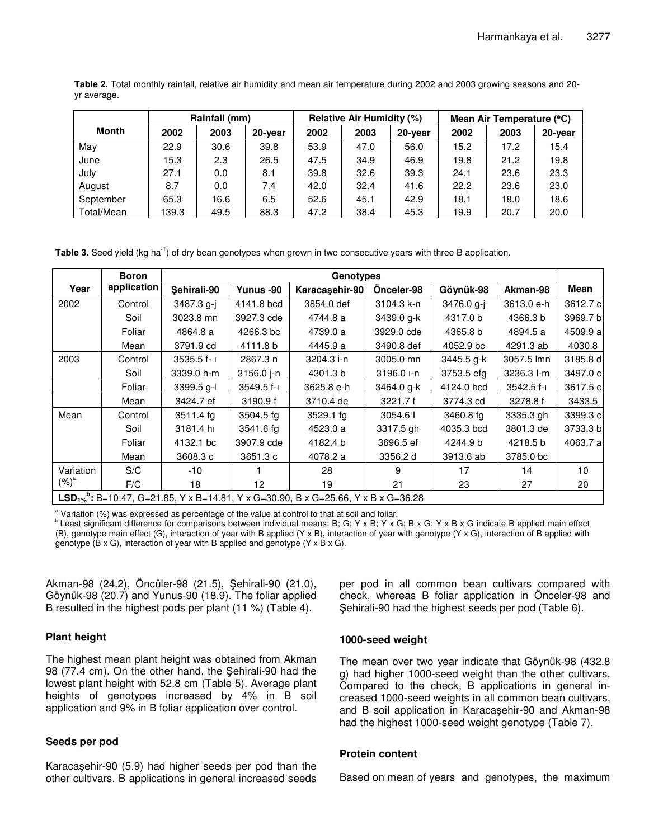|             | Table 2. Total monthly rainfall, relative air humidity and mean air temperature during 2002 and 2003 growing seasons and 20- |  |  |  |  |  |  |
|-------------|------------------------------------------------------------------------------------------------------------------------------|--|--|--|--|--|--|
| yr average. |                                                                                                                              |  |  |  |  |  |  |

|            |       | Rainfall (mm) |         |      | <b>Relative Air Humidity (%)</b> |         | Mean Air Temperature (°C) |      |         |  |
|------------|-------|---------------|---------|------|----------------------------------|---------|---------------------------|------|---------|--|
| Month      | 2002  | 2003          | 20-year | 2002 | 2003                             | 20-year | 2002                      | 2003 | 20-year |  |
| May        | 22.9  | 30.6          | 39.8    | 53.9 | 47.0                             | 56.0    | 15.2                      | 17.2 | 15.4    |  |
| June       | 15.3  | 2.3           | 26.5    | 47.5 | 34.9                             | 46.9    | 19.8                      | 21.2 | 19.8    |  |
| July       | 27.1  | 0.0           | 8.1     | 39.8 | 32.6                             | 39.3    | 24.1                      | 23.6 | 23.3    |  |
| August     | 8.7   | 0.0           | 7.4     | 42.0 | 32.4                             | 41.6    | 22.2                      | 23.6 | 23.0    |  |
| September  | 65.3  | 16.6          | 6.5     | 52.6 | 45.1                             | 42.9    | 18.1                      | 18.0 | 18.6    |  |
| Total/Mean | 139.3 | 49.5          | 88.3    | 47.2 | 38.4                             | 45.3    | 19.9                      | 20.7 | 20.0    |  |

Table 3. Seed yield (kg ha<sup>-1</sup>) of dry bean genotypes when grown in two consecutive years with three B application.

|           | <b>Boron</b> |                |              | Genotypes                                                                                                 |              |            |              |           |
|-----------|--------------|----------------|--------------|-----------------------------------------------------------------------------------------------------------|--------------|------------|--------------|-----------|
| Year      | application  | Sehirali-90    | Yunus -90    | Karacaşehir-90                                                                                            | Onceler-98   | Göynük-98  | Akman-98     | Mean      |
| 2002      | Control      | 3487.3 g-j     | 4141.8 bcd   | 3854.0 def                                                                                                | 3104.3 k-n   | 3476.0 g-j | 3613.0 e-h   | 3612.7 c  |
|           | Soil         | 3023.8 mn      | 3927.3 cde   | 4744.8 a                                                                                                  | 3439.0 g-k   | 4317.0 b   | 4366.3 b     | 3969.7 b  |
|           | Foliar       | 4864.8 a       | 4266.3 bc    | 4739.0 a                                                                                                  | 3929.0 cde   | 4365.8 b   | 4894.5 a     | 4509.9 al |
|           | Mean         | 3791.9 cd      | 4111.8 b     | 4445.9 a                                                                                                  | 3490.8 def   | 4052.9 bc  | 4291.3 ab    | 4030.8    |
| 2003      | Control      | $3535.5 f - 1$ | 2867.3 n     | 3204.3 i-n                                                                                                | 3005.0 mn    | 3445.5 g-k | 3057.5 lmn   | 3185.8 d  |
|           | Soil         | 3339.0 h-m     | $3156.0$ j-n | 4301.3 b                                                                                                  | $3196.0 - n$ | 3753.5 efg | 3236.3 l-m   | 3497.0 cl |
|           | Foliar       | $3399.5$ g-l   | $3549.5f-1$  | 3625.8 e-h                                                                                                | 3464.0 g-k   | 4124.0 bcd | $3542.5 f-1$ | 3617.5 cl |
|           | Mean         | 3424.7 ef      | 3190.9 f     | 3710.4 de                                                                                                 | 3221.7 f     | 3774.3 cd  | 3278.8 f     | 3433.5    |
| Mean      | Control      | 3511.4 fg      | 3504.5 fg    | 3529.1 fg                                                                                                 | 3054.6       | 3460.8 fg  | 3335.3 gh    | 3399.3 c  |
|           | Soil         | 3181.4 hr      | 3541.6 fg    | 4523.0 a                                                                                                  | 3317.5 gh    | 4035.3 bcd | 3801.3 de    | 3733.3 bl |
|           | Foliar       | 4132.1 bc      | 3907.9 cde   | 4182.4 b                                                                                                  | 3696.5 ef    | 4244.9 b   | 4218.5 b     | 4063.7 al |
|           | Mean         | 3608.3 c       | 3651.3 c     | 4078.2 a                                                                                                  | 3356.2 d     | 3913.6 ab  | 3785.0 bc    |           |
| Variation | S/C          | $-10$          |              | 28                                                                                                        | 9            | 17         | 14           | 10        |
| $(%)^a$   | F/C          | 18             | 12           | 19                                                                                                        | 21           | 23         | 27           | 20        |
|           |              |                |              | LSD <sub>1%</sub> <sup>b</sup> : B=10.47, G=21.85, Y x B=14.81, Y x G=30.90, B x G=25.66, Y x B x G=36.28 |              |            |              |           |

<sup>a</sup> Variation (%) was expressed as percentage of the value at control to that at soil and foliar.

<sup>b</sup> Least significant difference for comparisons between individual means: B; G; Y x B; Y x G; B x G; Y x B x G indicate B applied main effect (B), genotype main effect (G), interaction of year with B applied (Y x B), interaction of year with genotype (Y x G), interaction of B applied with genotype (B x G), interaction of year with B applied and genotype (Y x B x G).

Akman-98 (24.2), Öncüler-98 (21.5), ehirali-90 (21.0), Göynük-98 (20.7) and Yunus-90 (18.9). The foliar applied B resulted in the highest pods per plant (11 %) (Table 4).

## **Plant height**

The highest mean plant height was obtained from Akman 98 (77.4 cm). On the other hand, the Sehirali-90 had the lowest plant height with 52.8 cm (Table 5). Average plant heights of genotypes increased by 4% in B soil application and 9% in B foliar application over control.

## **Seeds per pod**

Karacaşehir-90 (5.9) had higher seeds per pod than the other cultivars. B applications in general increased seeds per pod in all common bean cultivars compared with check, whereas B foliar application in Önceler-98 and Sehirali-90 had the highest seeds per pod (Table 6).

#### **1000-seed weight**

The mean over two year indicate that Göynük-98 (432.8 g) had higher 1000-seed weight than the other cultivars. Compared to the check, B applications in general increased 1000-seed weights in all common bean cultivars, and B soil application in Karacaşehir-90 and Akman-98 had the highest 1000-seed weight genotype (Table 7).

#### **Protein content**

Based on mean of years and genotypes, the maximum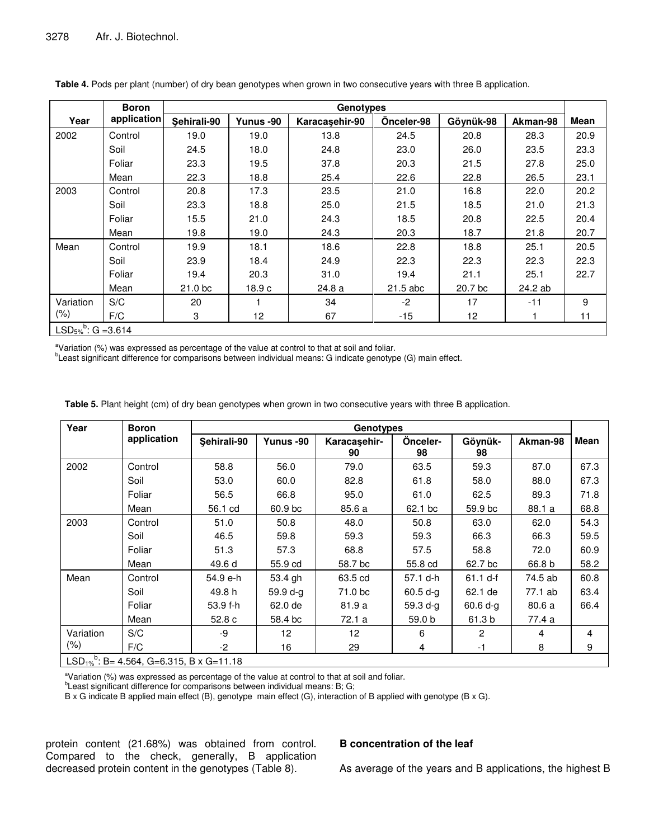|                                            | <b>Boron</b> |                    |           | <b>Genotypes</b> |            |           |          |      |
|--------------------------------------------|--------------|--------------------|-----------|------------------|------------|-----------|----------|------|
| Year                                       | application  | Sehirali-90        | Yunus -90 | Karacaşehir-90   | Önceler-98 | Göynük-98 | Akman-98 | Mean |
| 2002                                       | Control      | 19.0               | 19.0      | 13.8             | 24.5       | 20.8      | 28.3     | 20.9 |
|                                            | Soil         | 24.5               | 18.0      | 24.8             | 23.0       | 26.0      | 23.5     | 23.3 |
|                                            | Foliar       | 23.3               | 19.5      | 37.8             | 20.3       | 21.5      | 27.8     | 25.0 |
|                                            | Mean         | 22.3               | 18.8      | 25.4             | 22.6       | 22.8      | 26.5     | 23.1 |
| 2003                                       | Control      | 20.8               | 17.3      | 23.5             | 21.0       | 16.8      | 22.0     | 20.2 |
|                                            | Soil         | 23.3               | 18.8      | 25.0             | 21.5       | 18.5      | 21.0     | 21.3 |
|                                            | Foliar       | 15.5               | 21.0      | 24.3             | 18.5       | 20.8      | 22.5     | 20.4 |
|                                            | Mean         | 19.8               | 19.0      | 24.3             | 20.3       | 18.7      | 21.8     | 20.7 |
| Mean                                       | Control      | 19.9               | 18.1      | 18.6             | 22.8       | 18.8      | 25.1     | 20.5 |
|                                            | Soil         | 23.9               | 18.4      | 24.9             | 22.3       | 22.3      | 22.3     | 22.3 |
|                                            | Foliar       | 19.4               | 20.3      | 31.0             | 19.4       | 21.1      | 25.1     | 22.7 |
|                                            | Mean         | 21.0 <sub>bc</sub> | 18.9c     | 24.8 a           | 21.5 abc   | 20.7 bc   | 24.2 ab  |      |
| Variation                                  | S/C          | 20                 | 1         | 34               | $-2$       | 17        | $-11$    | 9    |
| $(\% )$                                    | F/C          | 3                  | 12        | 67               | -15        | 12        |          | 11   |
| LSD <sub>5%</sub> <sup>b</sup> : G = 3.614 |              |                    |           |                  |            |           |          |      |

**Table 4.** Pods per plant (number) of dry bean genotypes when grown in two consecutive years with three B application.

<sup>a</sup>Variation (%) was expressed as percentage of the value at control to that at soil and foliar.

<sup>b</sup>Least significant difference for comparisons between individual means: G indicate genotype (G) main effect.

| Year      | <b>Boron</b> |             | <b>Genotypes</b> |                    |                |                |          |                |  |  |  |
|-----------|--------------|-------------|------------------|--------------------|----------------|----------------|----------|----------------|--|--|--|
|           | application  | Sehirali-90 | Yunus -90        | Karacaşehir-<br>90 | Onceler-<br>98 | Göynük-<br>98  | Akman-98 | Mean           |  |  |  |
| 2002      | Control      | 58.8        | 56.0             | 79.0               | 63.5           | 59.3           | 87.0     | 67.3           |  |  |  |
|           | Soil         | 53.0        | 60.0             | 82.8               | 61.8           | 58.0           | 88.0     | 67.3           |  |  |  |
|           | Foliar       | 56.5        | 66.8             | 95.0               | 61.0           | 62.5           | 89.3     | 71.8           |  |  |  |
|           | Mean         | 56.1 cd     | 60.9 bc          | 85.6 a             | 62.1 bc        | 59.9 bc        | 88.1 a   | 68.8           |  |  |  |
| 2003      | Control      | 51.0        | 50.8             | 48.0               | 50.8           | 63.0           | 62.0     | 54.3           |  |  |  |
|           | Soil         | 46.5        | 59.8             | 59.3               | 59.3           | 66.3           | 66.3     | 59.5           |  |  |  |
|           | Foliar       | 51.3        | 57.3             | 68.8               | 57.5           | 58.8           | 72.0     | 60.9           |  |  |  |
|           | Mean         | 49.6 d      | 55.9 cd          | 58.7 bc            | 55.8 cd        | 62.7 bc        | 66.8 b   | 58.2           |  |  |  |
| Mean      | Control      | 54.9 e-h    | 53.4 gh          | 63.5 cd            | 57.1 d-h       | $61.1 d-f$     | 74.5 ab  | 60.8           |  |  |  |
|           | Soil         | 49.8 h      | 59.9 d-a         | 71.0 bc            | $60.5 d-g$     | 62.1 de        | 77.1 ab  | 63.4           |  |  |  |
|           | Foliar       | 53.9 f-h    | 62.0 de          | 81.9 a             | $59.3 d-g$     | $60.6 d-g$     | 80.6 a   | 66.4           |  |  |  |
|           | Mean         | 52.8c       | 58.4 bc          | 72.1 a             | 59.0 b         | 61.3 b         | 77.4 a   |                |  |  |  |
| Variation | S/C          | -9          | 12               | 12                 | 6              | $\overline{2}$ | 4        | $\overline{4}$ |  |  |  |
| $(\% )$   | F/C          | $-2$        | 16               | 29                 | 4              | -1             | 8        | 9              |  |  |  |

 $LSD_{1\%}$ <sup>b</sup>: B= 4.564, G=6.315, B x G=11.18

<sup>a</sup>Variation (%) was expressed as percentage of the value at control to that at soil and foliar.

<sup>b</sup>Least significant difference for comparisons between individual means: B; G;

B x G indicate B applied main effect (B), genotype main effect (G), interaction of B applied with genotype (B x G).

protein content (21.68%) was obtained from control. Compared to the check, generally, B application decreased protein content in the genotypes (Table 8).

## **B concentration of the leaf**

As average of the years and B applications, the highest B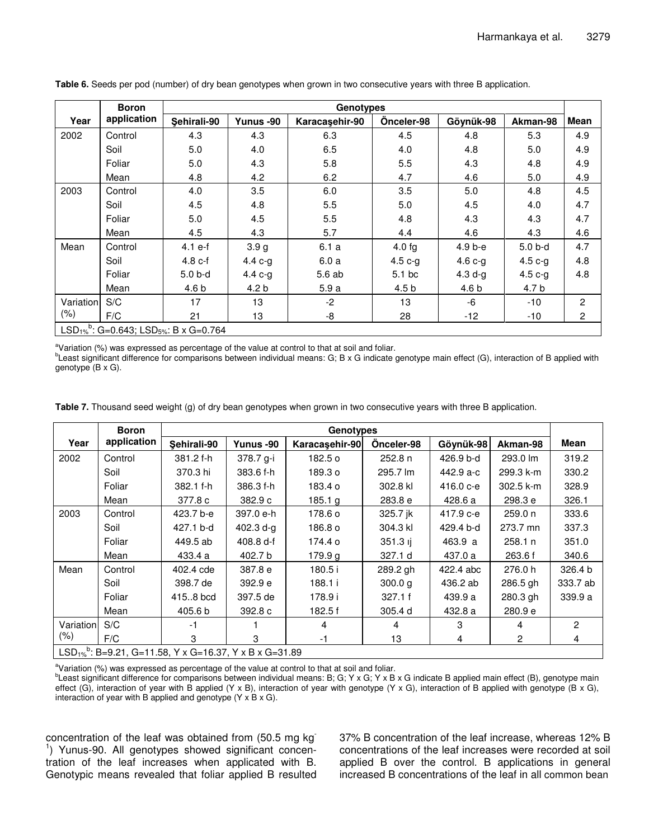|           | <b>Boron</b> |                                                                           | <b>Genotypes</b> |                |                   |           |          |                |  |  |  |  |
|-----------|--------------|---------------------------------------------------------------------------|------------------|----------------|-------------------|-----------|----------|----------------|--|--|--|--|
| Year      | application  | Sehirali-90                                                               | Yunus -90        | Karacasehir-90 | Önceler-98        | Göynük-98 | Akman-98 | <b>Mean</b>    |  |  |  |  |
| 2002      | Control      | 4.3                                                                       | 4.3              | 6.3            | 4.5               | 4.8       | 5.3      | 4.9            |  |  |  |  |
|           | Soil         | 5.0                                                                       | 4.0              | 6.5            | 4.0               | 4.8       | 5.0      | 4.9            |  |  |  |  |
|           | Foliar       | 5.0                                                                       | 4.3              | 5.8            | 5.5               | 4.3       | 4.8      | 4.9            |  |  |  |  |
|           | Mean         | 4.8                                                                       | 4.2              | 6.2            | 4.7               | 4.6       | 5.0      | 4.9            |  |  |  |  |
| 2003      | Control      | 4.0                                                                       | 3.5              | 6.0            | 3.5               | 5.0       | 4.8      | 4.5            |  |  |  |  |
|           | Soil         | 4.5                                                                       | 4.8              | 5.5            | 5.0               | 4.5       | 4.0      | 4.7            |  |  |  |  |
|           | Foliar       | 5.0                                                                       | 4.5              | 5.5            | 4.8               | 4.3       | 4.3      | 4.7            |  |  |  |  |
|           | Mean         | 4.5                                                                       | 4.3              | 5.7            | 4.4               | 4.6       | 4.3      | 4.6            |  |  |  |  |
| Mean      | Control      | $4.1 e-f$                                                                 | 3.9 <sub>g</sub> | 6.1a           | $4.0$ fg          | $4.9b-e$  | 5.0 b-d  | 4.7            |  |  |  |  |
|           | Soil         | $4.8c-f$                                                                  | 4.4 $c-g$        | 6.0a           | $4.5c-g$          | 4.6 $c-g$ | $4.5c-g$ | 4.8            |  |  |  |  |
|           | Foliar       | $5.0b-d$                                                                  | $4.4 c-g$        | 5.6 ab         | 5.1 <sub>bc</sub> | $4.3 d-g$ | $4.5c-g$ | 4.8            |  |  |  |  |
|           | Mean         | 4.6 <sub>b</sub>                                                          | 4.2 b            | 5.9a           | 4.5 <sub>b</sub>  | 4.6 b     | 4.7 b    |                |  |  |  |  |
| Variation | S/C          | 17                                                                        | 13               | $-2$           | 13                | -6        | $-10$    | $\overline{2}$ |  |  |  |  |
| $(\% )$   | F/C          | 21                                                                        | 13               | -8             | 28                | $-12$     | -10      | 2              |  |  |  |  |
|           |              | LSD <sub>1%</sub> <sup>b</sup> : G=0.643; LSD <sub>5%</sub> : B x G=0.764 |                  |                |                   |           |          |                |  |  |  |  |

**Table 6.** Seeds per pod (number) of dry bean genotypes when grown in two consecutive years with three B application.

<sup>a</sup>Variation (%) was expressed as percentage of the value at control to that at soil and foliar.

<sup>b</sup>Least significant difference for comparisons between individual means: G; B x G indicate genotype main effect (G), interaction of B applied with genotype (B x G).

| Table 7. Thousand seed weight (g) of dry bean genotypes when grown in two consecutive years with three B application. |  |  |
|-----------------------------------------------------------------------------------------------------------------------|--|--|
|-----------------------------------------------------------------------------------------------------------------------|--|--|

|           | <b>Boron</b>                                                                   |             | Genotypes |                |            |             |             |                |  |  |  |  |
|-----------|--------------------------------------------------------------------------------|-------------|-----------|----------------|------------|-------------|-------------|----------------|--|--|--|--|
| Year      | application                                                                    | Sehirali-90 | Yunus -90 | Karacaşehir-90 | Önceler-98 | Göynük-98   | Akman-98    | Mean           |  |  |  |  |
| 2002      | Control                                                                        | 381.2 f-h   | 378.7 g-i | 182.5 o        | 252.8 n    | 426.9 b-d   | 293.0 lm    | 319.2          |  |  |  |  |
|           | Soil                                                                           | 370.3 hi    | 383.6 f-h | 189.3 o        | 295.7 lm   | 442.9 a-c   | 299.3 k-m   | 330.2          |  |  |  |  |
|           | Foliar                                                                         | 382.1 f-h   | 386.3 f-h | 183.4 o        | 302.8 kl   | $416.0 c-e$ | $302.5$ k-m | 328.9          |  |  |  |  |
|           | Mean                                                                           | 377.8 c     | 382.9 c   | 185.1 g        | 283.8 e    | 428.6 a     | 298.3 e     | 326.1          |  |  |  |  |
| 2003      | Control                                                                        | 423.7 b-e   | 397.0 e-h | 178.6 o        | 325.7 jk   | 417.9 с-е   | 259.0 n     | 333.6          |  |  |  |  |
|           | Soil                                                                           | 427.1 b-d   | 402.3 d-g | 186.8 o        | 304.3 kl   | 429.4 b-d   | 273.7 mn    | 337.3          |  |  |  |  |
|           | Foliar                                                                         | 449.5 ab    | 408.8 d-f | 174.4 o        | $351.3$ ij | 463.9 a     | 258.1 n     | 351.0          |  |  |  |  |
|           | Mean                                                                           | 433.4 a     | 402.7 b   | 179.9 g        | 327.1 d    | 437.0 a     | 263.6 f     | 340.6          |  |  |  |  |
| Mean      | Control                                                                        | 402.4 cde   | 387.8 e   | 180.5i         | 289.2 gh   | 422.4 abc   | 276.0 h     | 326.4 b        |  |  |  |  |
|           | Soil                                                                           | 398.7 de    | 392.9 e   | 188.1 i        | 300.0 g    | 436.2 ab    | 286.5 gh    | 333.7 ab       |  |  |  |  |
|           | Foliar                                                                         | 415.8 bcd   | 397.5 de  | 178.9 i        | 327.1 f    | 439.9 a     | 280.3 gh    | 339.9 a        |  |  |  |  |
|           | Mean                                                                           | 405.6 b     | 392.8 c   | 182.5 f        | 305.4 d    | 432.8 a     | 280.9 e     |                |  |  |  |  |
| Variation | S/C                                                                            | -1          |           | 4              | 4          | 3           | 4           | $\overline{2}$ |  |  |  |  |
| $(\% )$   | F/C                                                                            | 3           | 3         | -1             | 13         | 4           | 2           | 4              |  |  |  |  |
|           | LSD <sub>1%</sub> <sup>b</sup> : B=9.21, G=11.58, Y x G=16.37, Y x B x G=31.89 |             |           |                |            |             |             |                |  |  |  |  |

<sup>a</sup>Variation (%) was expressed as percentage of the value at control to that at soil and foliar. <sup>b</sup>Least significant difference for comparisons between individual means: B; G; Y x G; Y x B x G indicate B applied main effect (B), genotype main effect (G), interaction of year with B applied (Y x B), interaction of year with genotype (Y x G), interaction of B applied with genotype (B x G), interaction of year with B applied and genotype (Y x B x G).

concentration of the leaf was obtained from (50.5 mg kg<sup>-</sup> <sup>1</sup>) Yunus-90. All genotypes showed significant concentration of the leaf increases when applicated with B. Genotypic means revealed that foliar applied B resulted 37% B concentration of the leaf increase, whereas 12% B concentrations of the leaf increases were recorded at soil applied B over the control. B applications in general increased B concentrations of the leaf in all common bean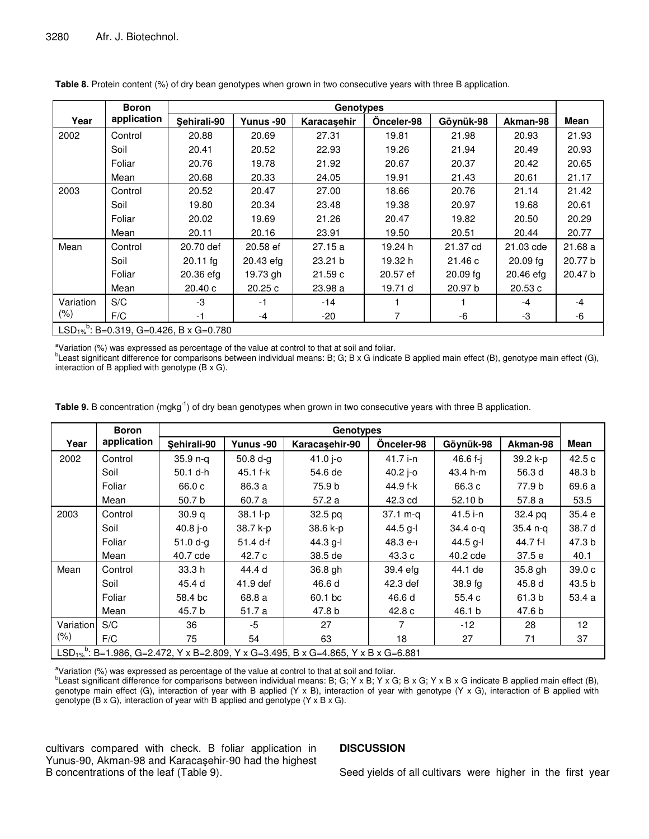|           | <b>Boron</b> |                                                                |           | <b>Genotypes</b> |            |                    |           |         |
|-----------|--------------|----------------------------------------------------------------|-----------|------------------|------------|--------------------|-----------|---------|
| Year      | application  | Sehirali-90                                                    | Yunus -90 | Karacasehir      | Onceler-98 | Göynük-98          | Akman-98  | Mean    |
| 2002      | Control      | 20.88                                                          | 20.69     | 27.31            | 19.81      | 21.98              | 20.93     | 21.93   |
|           | Soil         | 20.41                                                          | 20.52     | 22.93            | 19.26      | 21.94              | 20.49     | 20.93   |
|           | Foliar       | 20.76                                                          | 19.78     | 21.92            | 20.67      | 20.37              | 20.42     | 20.65   |
|           | Mean         | 20.68                                                          | 20.33     | 24.05            | 19.91      | 21.43              | 20.61     | 21.17   |
| 2003      | Control      | 20.52                                                          | 20.47     | 27.00            | 18.66      | 20.76              | 21.14     | 21.42   |
|           | Soil         | 19.80                                                          | 20.34     | 23.48            | 19.38      | 20.97              | 19.68     | 20.61   |
|           | Foliar       | 20.02                                                          | 19.69     | 21.26            | 20.47      | 19.82              | 20.50     | 20.29   |
|           | Mean         | 20.11                                                          | 20.16     | 23.91            | 19.50      | 20.51              | 20.44     | 20.77   |
| Mean      | Control      | 20.70 def                                                      | 20.58 ef  | 27.15a           | 19.24 h    | 21.37 cd           | 21.03 cde | 21.68a  |
|           | Soil         | $20.11$ fg                                                     | 20.43 efg | 23.21 b          | 19.32 h    | 21.46c             | 20.09 fq  | 20.77 b |
|           | Foliar       | 20.36 efg                                                      | 19.73 gh  | 21.59c           | 20.57 ef   | $20.09$ fg         | 20.46 efg | 20.47 b |
|           | Mean         | 20.40c                                                         | 20.25c    | 23.98 a          | 19.71 d    | 20.97 <sub>b</sub> | 20.53c    |         |
| Variation | S/C          | -3                                                             | $-1$      | $-14$            |            |                    | $-4$      | $-4$    |
| $(\% )$   | F/C          | $-1$                                                           | $-4$      | $-20$            | 7          | -6                 | -3        | -6      |
|           |              | LSD <sub>1%</sub> <sup>b</sup> : B=0.319, G=0.426, B x G=0.780 |           |                  |            |                    |           |         |

**Table 8.** Protein content (%) of dry bean genotypes when grown in two consecutive years with three B application.

<sup>a</sup>Variation (%) was expressed as percentage of the value at control to that at soil and foliar.

<sup>b</sup>Least significant difference for comparisons between individual means: B; G; B x G indicate B applied main effect (B), genotype main effect (G), interaction of B applied with genotype (B x G).

| Table 9. B concentration (mgkg <sup>-1</sup> ) of dry bean genotypes when grown in two consecutive years with three B application. |  |  |  |
|------------------------------------------------------------------------------------------------------------------------------------|--|--|--|
|------------------------------------------------------------------------------------------------------------------------------------|--|--|--|

|           | <b>Boron</b> |             |            | <b>Genotypes</b>                                                                                          |            |            |          |                   |
|-----------|--------------|-------------|------------|-----------------------------------------------------------------------------------------------------------|------------|------------|----------|-------------------|
| Year      | application  | Sehirali-90 | Yunus -90  | Karacaşehir-90                                                                                            | Önceler-98 | Göynük-98  | Akman-98 | Mean              |
| 2002      | Control      | 35.9 n-q    | $50.8 d-g$ | $41.0 -0$                                                                                                 | 41.7 i-n   | 46.6 f-i   | 39.2 k-p | 42.5c             |
|           | Soil         | 50.1 d-h    | 45.1 f-k   | 54.6 de                                                                                                   | $40.2$ j-o | 43.4 h-m   | 56.3 d   | 48.3 b            |
|           | Foliar       | 66.0 c      | 86.3 a     | 75.9 b                                                                                                    | 44.9 f-k   | 66.3 c     | 77.9 b   | 69.6 a            |
|           | Mean         | 50.7 b      | 60.7 a     | 57.2 a                                                                                                    | 42.3 cd    | 52.10 b    | 57.8 a   | 53.5              |
| 2003      | Control      | 30.9q       | 38.1 l-p   | 32.5 <sub>pq</sub>                                                                                        | $37.1 m-q$ | 41.5 i-n   | 32.4 pq  | 35.4e             |
|           | Soil         | 40.8 $j$ -0 | 38.7 k-p   | 38.6 k-p                                                                                                  | 44.5 g-l   | 34.4 o-a   | 35.4 n-a | 38.7 d            |
|           | Foliar       | $51.0 d-g$  | $51.4 d-f$ | $44.3$ g-l                                                                                                | 48.3 e-l   | $44.5$ g-l | 44.7 f-l | 47.3 b            |
|           | Mean         | 40.7 cde    | 42.7 c     | 38.5 de                                                                                                   | 43.3 c     | 40.2 cde   | 37.5e    | 40.1              |
| Mean      | Control      | 33.3 h      | 44.4 d     | 36.8 gh                                                                                                   | 39.4 efg   | 44.1 de    | 35.8 gh  | 39.0 <sub>c</sub> |
|           | Soil         | 45.4 d      | 41.9 def   | 46.6 d                                                                                                    | 42.3 def   | $38.9$ fg  | 45.8 d   | 43.5 b            |
|           | Foliar       | 58.4 bc     | 68.8 a     | 60.1 bc                                                                                                   | 46.6 d     | 55.4c      | 61.3 b   | 53.4 a            |
|           | Mean         | 45.7 b      | 51.7 a     | 47.8 b                                                                                                    | 42.8 c     | 46.1 b     | 47.6 b   |                   |
| Variation | S/C          | 36          | -5         | 27                                                                                                        | 7          | $-12$      | 28       | 12 <sup>2</sup>   |
| $(\% )$   | F/C          | 75          | 54         | 63                                                                                                        | 18         | 27         | 71       | 37                |
|           |              |             |            | LSD <sub>1%</sub> <sup>b</sup> : B=1.986, G=2.472, Y x B=2.809, Y x G=3.495, B x G=4.865, Y x B x G=6.881 |            |            |          |                   |

 $a$ Variation (%) was expressed as percentage of the value at control to that at soil and foliar.

<sup>b</sup>Least significant difference for comparisons between individual means: B; G; Y x B; Y x G; B x G; Y x B x G indicate B applied main effect (B), genotype main effect (G), interaction of year with B applied (Y x B), interaction of year with genotype (Y x G), interaction of B applied with genotype (B x G), interaction of year with B applied and genotype (Y x B x G).

cultivars compared with check. B foliar application in Yunus-90, Akman-98 and Karacaşehir-90 had the highest B concentrations of the leaf (Table 9).

#### **DISCUSSION**

Seed yields of all cultivars were higher in the first year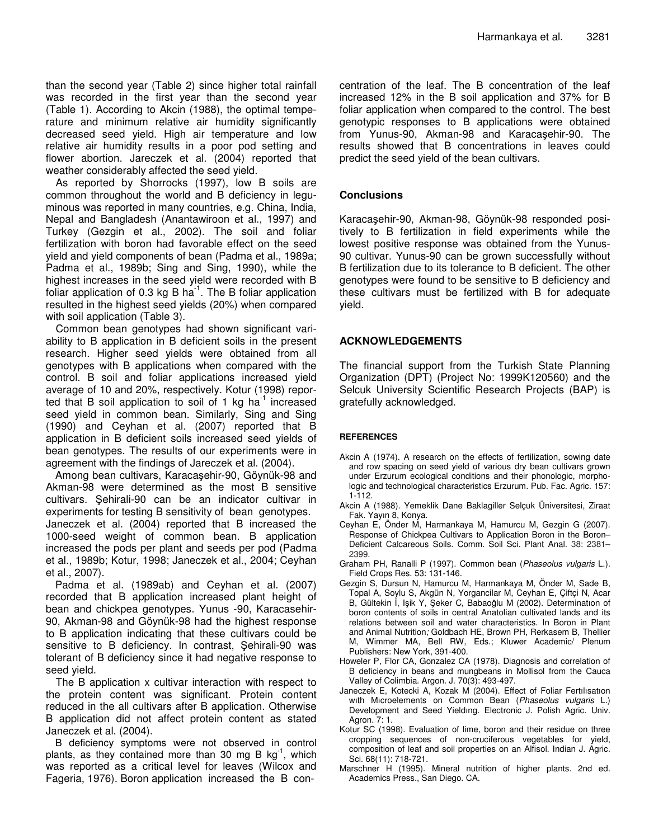than the second year (Table 2) since higher total rainfall was recorded in the first year than the second year (Table 1). According to Akcin (1988), the optimal temperature and minimum relative air humidity significantly decreased seed yield. High air temperature and low relative air humidity results in a poor pod setting and flower abortion. Jareczek et al. (2004) reported that weather considerably affected the seed yield.

As reported by Shorrocks (1997), low B soils are common throughout the world and B deficiency in leguminous was reported in many countries, e.g. China, India, Nepal and Bangladesh (Anantawiroon et al., 1997) and Turkey (Gezgin et al., 2002). The soil and foliar fertilization with boron had favorable effect on the seed yield and yield components of bean (Padma et al., 1989a; Padma et al., 1989b; Sing and Sing, 1990), while the highest increases in the seed yield were recorded with B foliar application of 0.3 kg B ha<sup>-1</sup>. The B foliar application resulted in the highest seed yields (20%) when compared with soil application (Table 3).

Common bean genotypes had shown significant variability to B application in B deficient soils in the present research. Higher seed yields were obtained from all genotypes with B applications when compared with the control. B soil and foliar applications increased yield average of 10 and 20%, respectively. Kotur (1998) reported that B soil application to soil of 1 kg ha<sup>-1</sup> increased seed yield in common bean. Similarly, Sing and Sing (1990) and Ceyhan et al*.* (2007) reported that B application in B deficient soils increased seed yields of bean genotypes. The results of our experiments were in agreement with the findings of Jareczek et al. (2004).

Among bean cultivars, Karacaşehir-90, Göynük-98 and Akman-98 were determined as the most B sensitive cultivars. Sehirali-90 can be an indicator cultivar in experiments for testing B sensitivity of bean genotypes. Janeczek et al. (2004) reported that B increased the 1000-seed weight of common bean. B application increased the pods per plant and seeds per pod (Padma et al., 1989b; Kotur, 1998; Janeczek et al., 2004; Ceyhan et al., 2007).

Padma et al. (1989ab) and Ceyhan et al. (2007) recorded that B application increased plant height of bean and chickpea genotypes. Yunus -90, Karacasehir-90, Akman-98 and Göynük-98 had the highest response to B application indicating that these cultivars could be sensitive to B deficiency. In contrast, Sehirali-90 was tolerant of B deficiency since it had negative response to seed yield.

The B application x cultivar interaction with respect to the protein content was significant. Protein content reduced in the all cultivars after B application. Otherwise B application did not affect protein content as stated Janeczek et al. (2004).

B deficiency symptoms were not observed in control plants, as they contained more than 30 mg B  $kg^{-1}$ , which was reported as a critical level for leaves (Wilcox and Fageria, 1976). Boron application increased the B concentration of the leaf. The B concentration of the leaf increased 12% in the B soil application and 37% for B foliar application when compared to the control. The best genotypic responses to B applications were obtained from Yunus-90, Akman-98 and Karacaşehir-90. The results showed that B concentrations in leaves could predict the seed yield of the bean cultivars.

## **Conclusions**

Karacaşehir-90, Akman-98, Göynük-98 responded positively to B fertilization in field experiments while the lowest positive response was obtained from the Yunus-90 cultivar. Yunus-90 can be grown successfully without B fertilization due to its tolerance to B deficient. The other genotypes were found to be sensitive to B deficiency and these cultivars must be fertilized with B for adequate yield.

# **ACKNOWLEDGEMENTS**

The financial support from the Turkish State Planning Organization (DPT) (Project No: 1999K120560) and the Selcuk University Scientific Research Projects (BAP) is gratefully acknowledged.

## **REFERENCES**

- Akcin A (1974). A research on the effects of fertilization, sowing date and row spacing on seed yield of various dry bean cultivars grown under Erzurum ecological conditions and their phonologic, morphologic and technological characteristics Erzurum. Pub. Fac. Agric. 157: 1-112.
- Akcin A (1988). Yemeklik Dane Baklagiller Selçuk Üniversitesi, Ziraat Fak. Yayın 8, Konya.
- Ceyhan E, Önder M, Harmankaya M, Hamurcu M, Gezgin G (2007). Response of Chickpea Cultivars to Application Boron in the Boron-Deficient Calcareous Soils. Comm. Soil Sci. Plant Anal. 38: 2381– 2399.
- Graham PH, Ranalli P (1997). Common bean (*Phaseolus vulgaris* L.). Field Crops Res. 53: 131-146.
- Gezgin S, Dursun N, Hamurcu M, Harmankaya M, Önder M, Sade B, Topal A, Soylu S, Akgün N, Yorgancilar M, Ceyhan E, Çiftçi N, Acar B, Gültekin İ, Işik Y, Şeker C, Babaoğlu M (2002). Determinatıon of boron contents of soils in central Anatolian cultivated lands and its relations between soil and water characteristics. In Boron in Plant and Animal Nutrition*;* Goldbach HE, Brown PH, Rerkasem B, Thellier M, Wimmer MA, Bell RW, Eds.; Kluwer Academic/ Plenum Publishers: New York, 391-400.
- Howeler P, Flor CA, Gonzalez CA (1978). Diagnosis and correlation of B deficiency in beans and mungbeans in Mollisol from the Cauca Valley of Colimbia. Argon. J. 70(3): 493-497.
- Janeczek E, Kotecki A, Kozak M (2004). Effect of Foliar Fertılısatıon wıth Mıcroelements on Common Bean (*Phaseolus vulgaris* L.) Development and Seed Yieldıng. Electronic J. Polish Agric. Univ. Agron. 7: 1.
- Kotur SC (1998). Evaluation of lime, boron and their residue on three cropping sequences of non-cruciferous vegetables for yield, composition of leaf and soil properties on an Alfisol. Indian J. Agric. Sci*.* 68(11): 718-721.
- Marschner H (1995). Mineral nutrition of higher plants. 2nd ed. Academics Press., San Diego. CA.